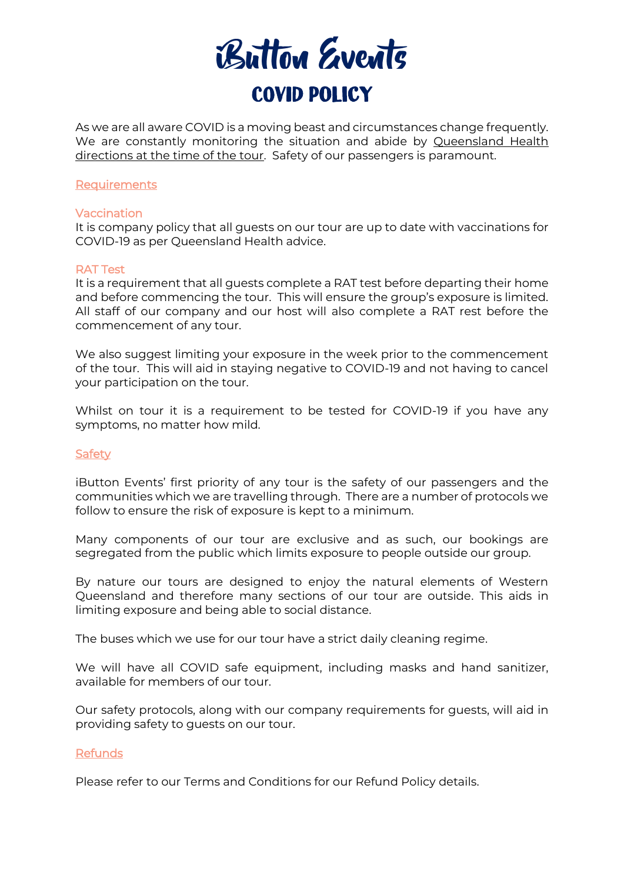

As we are all aware COVID is a moving beast and circumstances change frequently. We are constantly monitoring the situation and abide by Queensland Health directions at the time of the tour. Safety of our passengers is paramount.

#### **Requirements**

#### Vaccination

It is company policy that all guests on our tour are up to date with vaccinations for COVID-19 as per Queensland Health advice.

#### RAT Test

It is a requirement that all guests complete a RAT test before departing their home and before commencing the tour. This will ensure the group's exposure is limited. All staff of our company and our host will also complete a RAT rest before the commencement of any tour.

We also suggest limiting your exposure in the week prior to the commencement of the tour. This will aid in staying negative to COVID-19 and not having to cancel your participation on the tour.

Whilst on tour it is a requirement to be tested for COVID-19 if you have any symptoms, no matter how mild.

## Safety

iButton Events' first priority of any tour is the safety of our passengers and the communities which we are travelling through. There are a number of protocols we follow to ensure the risk of exposure is kept to a minimum.

Many components of our tour are exclusive and as such, our bookings are segregated from the public which limits exposure to people outside our group.

By nature our tours are designed to enjoy the natural elements of Western Queensland and therefore many sections of our tour are outside. This aids in limiting exposure and being able to social distance.

The buses which we use for our tour have a strict daily cleaning regime.

We will have all COVID safe equipment, including masks and hand sanitizer, available for members of our tour.

Our safety protocols, along with our company requirements for guests, will aid in providing safety to guests on our tour.

## Refunds

Please refer to our Terms and Conditions for our Refund Policy details.